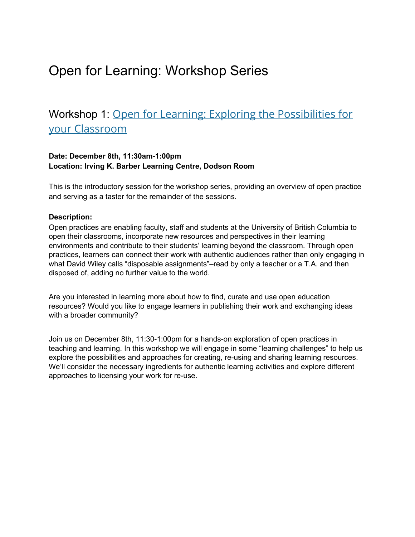# Open for Learning: Workshop Series

# Workshop 1: Open for Learning: Exploring the [Possibilities](https://events.ctlt.ubc.ca/events/open-for-learning-exploring-the-possibilities-for-your-classroom/) for your [Classroom](https://events.ctlt.ubc.ca/events/open-for-learning-exploring-the-possibilities-for-your-classroom/)

#### **Date: December 8th, 11:30am1:00pm Location: Irving K. Barber Learning Centre, Dodson Room**

This is the introductory session for the workshop series, providing an overview of open practice and serving as a taster for the remainder of the sessions.

#### **Description:**

Open practices are enabling faculty, staff and students at the University of British Columbia to open their classrooms, incorporate new resources and perspectives in their learning environments and contribute to their students' learning beyond the classroom. Through open practices, learners can connect their work with authentic audiences rather than only engaging in what David Wiley calls "disposable [assignments"–](http://opencontent.org/blog/archives/2975)read by only a teacher or a T.A. and then disposed of, adding no further value to the world.

Are you interested in learning more about how to find, curate and use open education resources? Would you like to engage learners in publishing their work and exchanging ideas with a broader community?

Join us on December 8th, 11:30-1:00pm for a hands-on exploration of open practices in teaching and learning. In this workshop we will engage in some "learning challenges" to help us explore the possibilities and approaches for creating, re-using and sharing learning resources. We'll consider the necessary ingredients for authentic learning activities and explore different approaches to licensing your work for re-use.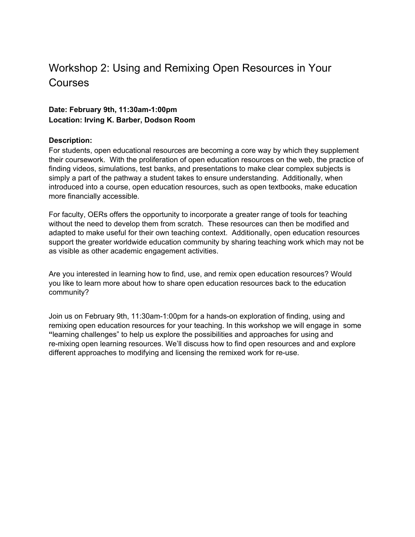### Workshop 2: Using and Remixing Open Resources in Your **Courses**

#### **Date: February 9th, 11:30am1:00pm Location: Irving K. Barber, Dodson Room**

#### **Description:**

For students, open educational resources are becoming a core way by which they supplement their coursework. With the proliferation of open education resources on the web, the practice of finding videos, simulations, test banks, and presentations to make clear complex subjects is simply a part of the pathway a student takes to ensure understanding. Additionally, when introduced into a course, open education resources, such as open textbooks, make education more financially accessible.

For faculty, OERs offers the opportunity to incorporate a greater range of tools for teaching without the need to develop them from scratch. These resources can then be modified and adapted to make useful for their own teaching context. Additionally, open education resources support the greater worldwide education community by sharing teaching work which may not be as visible as other academic engagement activities.

Are you interested in learning how to find, use, and remix open education resources? Would you like to learn more about how to share open education resources back to the education community?

Join us on February 9th, 11:30am-1:00pm for a hands-on exploration of finding, using and remixing open education resources for your teaching. In this workshop we will engage in some **"**learning challenges" to help us explore the possibilities and approaches for using and re-mixing open learning resources. We'll discuss how to find open resources and and explore different approaches to modifying and licensing the remixed work for re-use.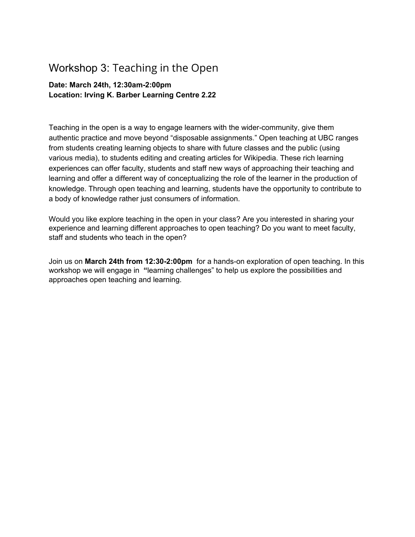### Workshop 3: Teaching in the Open

### **Date: March 24th, 12:30am2:00pm Location: Irving K. Barber Learning Centre 2.22**

Teaching in the open is a way to engage learners with the wider-community, give them authentic practice and move beyond "disposable assignments." Open teaching at UBC ranges from students creating learning objects to share with future classes and the public (using various media), to students editing and creating articles for Wikipedia. These rich learning experiences can offer faculty, students and staff new ways of approaching their teaching and learning and offer a different way of conceptualizing the role of the learner in the production of knowledge. Through open teaching and learning, students have the opportunity to contribute to a body of knowledge rather just consumers of information.

Would you like explore teaching in the open in your class? Are you interested in sharing your experience and learning different approaches to open teaching? Do you want to meet faculty, staff and students who teach in the open?

Join us on **March 24th from 12:302:00pm** for a handson exploration of open teaching. In this workshop we will engage in **"**learning challenges" to help us explore the possibilities and approaches open teaching and learning.